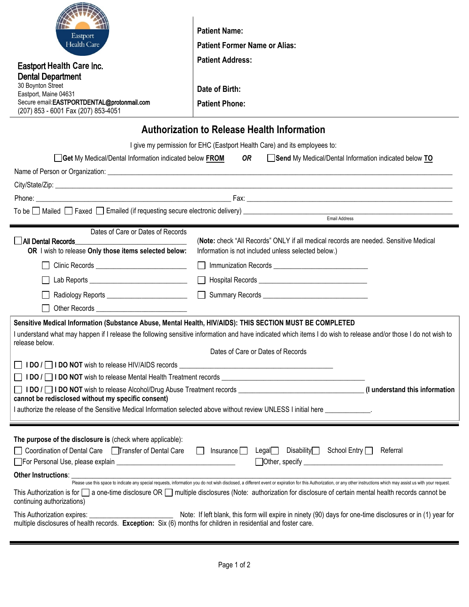|                                                                                                                                                                                      | <b>Patient Name:</b>                                                                 |  |
|--------------------------------------------------------------------------------------------------------------------------------------------------------------------------------------|--------------------------------------------------------------------------------------|--|
| Eastport<br>Health Care                                                                                                                                                              | <b>Patient Former Name or Alias:</b>                                                 |  |
| <b>Eastport Health Care Inc.</b>                                                                                                                                                     | <b>Patient Address:</b>                                                              |  |
| <b>Dental Department</b>                                                                                                                                                             |                                                                                      |  |
| 30 Boynton Street<br>Eastport, Maine 04631                                                                                                                                           | Date of Birth:                                                                       |  |
| Secure email:EASTPORTDENTAL@protonmail.com<br>(207) 853 - 6001 Fax (207) 853-4051                                                                                                    | <b>Patient Phone:</b>                                                                |  |
|                                                                                                                                                                                      |                                                                                      |  |
| <b>Authorization to Release Health Information</b>                                                                                                                                   |                                                                                      |  |
| I give my permission for EHC (Eastport Health Care) and its employees to:                                                                                                            |                                                                                      |  |
| Send My Medical/Dental Information indicated below TO<br>Get My Medical/Dental Information indicated below FROM<br>OR                                                                |                                                                                      |  |
|                                                                                                                                                                                      |                                                                                      |  |
|                                                                                                                                                                                      |                                                                                      |  |
|                                                                                                                                                                                      |                                                                                      |  |
|                                                                                                                                                                                      |                                                                                      |  |
| Email Address                                                                                                                                                                        |                                                                                      |  |
| Dates of Care or Dates of Records<br>All Dental Records                                                                                                                              | (Note: check "All Records" ONLY if all medical records are needed. Sensitive Medical |  |
| OR I wish to release Only those items selected below:                                                                                                                                | Information is not included unless selected below.)                                  |  |
| Clinic Records ______________________________                                                                                                                                        |                                                                                      |  |
|                                                                                                                                                                                      |                                                                                      |  |
| Radiology Reports                                                                                                                                                                    | <b>Summary Records</b>                                                               |  |
|                                                                                                                                                                                      |                                                                                      |  |
| Sensitive Medical Information (Substance Abuse, Mental Health, HIV/AIDS): THIS SECTION MUST BE COMPLETED                                                                             |                                                                                      |  |
| I understand what may happen if I release the following sensitive information and have indicated which items I do wish to release and/or those I do not wish to<br>release below.    |                                                                                      |  |
| Dates of Care or Dates of Records                                                                                                                                                    |                                                                                      |  |
|                                                                                                                                                                                      |                                                                                      |  |
|                                                                                                                                                                                      |                                                                                      |  |
|                                                                                                                                                                                      |                                                                                      |  |
| cannot be redisclosed without my specific consent)<br>I authorize the release of the Sensitive Medical Information selected above without review UNLESS I initial here ____________. |                                                                                      |  |
|                                                                                                                                                                                      |                                                                                      |  |

| The purpose of the disclosure is (check where applicable):                                                                                                                                                                                                  |  |  |  |
|-------------------------------------------------------------------------------------------------------------------------------------------------------------------------------------------------------------------------------------------------------------|--|--|--|
| □ Coordination of Dental Care □ Transfer of Dental Care<br>Disability<br>School Entry □<br>Referral<br>_eqall I<br>Insurance II                                                                                                                             |  |  |  |
| For Personal Use, please explain<br>$\Box$ Other, specify $\_\_\_\_\$                                                                                                                                                                                       |  |  |  |
| <b>Other Instructions:</b><br>Please use this space to indicate any special requests, information you do not wish disclosed, a different event or expiration for this Authorization, or any other instructions which may assist us with your request.       |  |  |  |
| This Authorization is for a one-time disclosure OR and ultiple disclosures (Note: authorization for disclosure of certain mental health records cannot be<br>continuing authorizations)                                                                     |  |  |  |
| Note: If left blank, this form will expire in ninety (90) days for one-time disclosures or in (1) year for<br>This Authorization expires:<br>multiple disclosures of health records. Exception: Six (6) months for children in residential and foster care. |  |  |  |